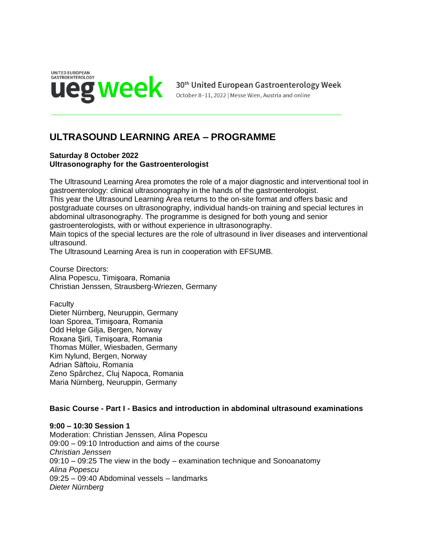

# **ULTRASOUND LEARNING AREA – PROGRAMME**

#### **Saturday 8 October 2022 Ultrasonography for the Gastroenterologist**

The Ultrasound Learning Area promotes the role of a major diagnostic and interventional tool in gastroenterology: clinical ultrasonography in the hands of the gastroenterologist. This year the Ultrasound Learning Area returns to the on-site format and offers basic and postgraduate courses on ultrasonography, individual hands-on training and special lectures in abdominal ultrasonography. The programme is designed for both young and senior gastroenterologists, with or without experience in ultrasonography. Main topics of the special lectures are the role of ultrasound in liver diseases and interventional ultrasound.

The Ultrasound Learning Area is run in cooperation with EFSUMB.

Course Directors: Alina Popescu, Timişoara, Romania Christian Jenssen, Strausberg-Wriezen, Germany

Faculty Dieter Nürnberg, Neuruppin, Germany Ioan Sporea, Timişoara, Romania Odd Helge Gilja, Bergen, Norway Roxana Şirli, Timişoara, Romania Thomas Müller, Wiesbaden, Germany Kim Nylund, Bergen, Norway Adrian Săftoiu, Romania Zeno Spârchez, Cluj Napoca, Romania Maria Nürnberg, Neuruppin, Germany

## **Basic Course - Part I - Basics and introduction in abdominal ultrasound examinations**

#### **9:00 – 10:30 Session 1**

Moderation: Christian Jenssen, Alina Popescu 09:00 – 09:10 Introduction and aims of the course *Christian Jenssen*  $09:10 - 09:25$  The view in the body – examination technique and Sonoanatomy *Alina Popescu* 09:25 – 09:40 Abdominal vessels – landmarks *Dieter Nürnberg*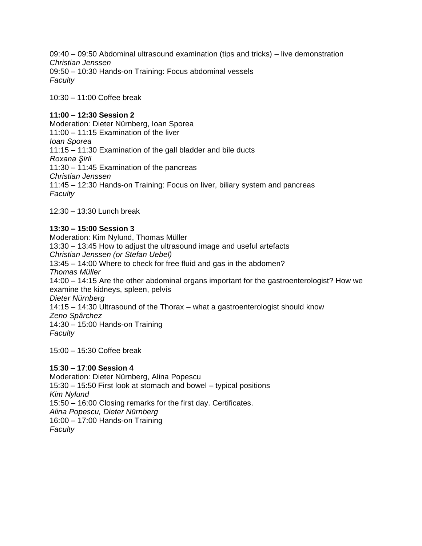09:40 – 09:50 Abdominal ultrasound examination (tips and tricks) – live demonstration *Christian Jenssen* 09:50 – 10:30 Hands-on Training: Focus abdominal vessels *Faculty*

10:30 – 11:00 Coffee break

# **11:00 – 12:30 Session 2**

Moderation: Dieter Nürnberg, Ioan Sporea 11:00 – 11:15 Examination of the liver *Ioan Sporea* 11:15 – 11:30 Examination of the gall bladder and bile ducts *Roxana Şirli* 11:30 – 11:45 Examination of the pancreas *Christian Jenssen*  11:45 – 12:30 Hands-on Training: Focus on liver, biliary system and pancreas *Faculty*

12:30 – 13:30 Lunch break

# **13:30 – 15:00 Session 3**

Moderation: Kim Nylund, Thomas Müller 13:30 – 13:45 How to adjust the ultrasound image and useful artefacts *Christian Jenssen (or Stefan Uebel)* 13:45 – 14:00 Where to check for free fluid and gas in the abdomen? *Thomas Müller* 14:00 – 14:15 Are the other abdominal organs important for the gastroenterologist? How we examine the kidneys, spleen, pelvis *Dieter Nürnberg* 14:15 – 14:30 Ultrasound of the Thorax – what a gastroenterologist should know *Zeno Spârchez* 14:30 – 15:00 Hands-on Training *Faculty* 15:00 – 15:30 Coffee break

# **15**:**30 – 17**:**00 Session 4**

Moderation: Dieter Nürnberg, Alina Popescu 15:30 – 15:50 First look at stomach and bowel – typical positions *Kim Nylund* 15:50 – 16:00 Closing remarks for the first day. Certificates. *Alina Popescu, Dieter Nürnberg* 16:00 – 17:00 Hands-on Training *Faculty*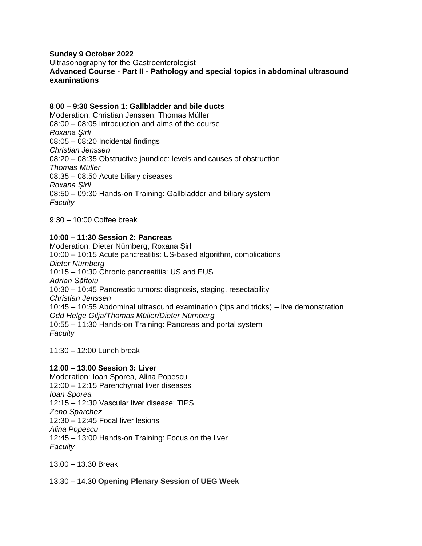#### **Sunday 9 October 2022**

Ultrasonography for the Gastroenterologist

**Advanced Course - Part II - Pathology and special topics in abdominal ultrasound examinations**

#### **8**:**00 – 9**:**30 Session 1: Gallbladder and bile ducts**

Moderation: Christian Jenssen, Thomas Müller 08:00 – 08:05 Introduction and aims of the course *Roxana Şirli* 08:05 – 08:20 Incidental findings *Christian Jenssen* 08:20 – 08:35 Obstructive jaundice: levels and causes of obstruction *Thomas Müller* 08:35 – 08:50 Acute biliary diseases *Roxana Şirli* 08:50 – 09:30 Hands-on Training: Gallbladder and biliary system *Faculty*

9:30 – 10:00 Coffee break

## **10**:**00 – 11**:**30 Session 2: Pancreas**

Moderation: Dieter Nürnberg, Roxana Şirli 10:00 – 10:15 Acute pancreatitis: US-based algorithm, complications *Dieter Nürnberg* 10:15 – 10:30 Chronic pancreatitis: US and EUS *Adrian Săftoiu* 10:30 – 10:45 Pancreatic tumors: diagnosis, staging, resectability *Christian Jenssen* 10:45 – 10:55 Abdominal ultrasound examination (tips and tricks) – live demonstration *Odd Helge Gilja/Thomas Müller/Dieter Nürnberg* 10:55 – 11:30 Hands-on Training: Pancreas and portal system *Faculty*

 $11:30 - 12:00$  Lunch break

#### **12**:**00 – 13**:**00 Session 3: Liver**

Moderation: Ioan Sporea, Alina Popescu 12:00 – 12:15 Parenchymal liver diseases *Ioan Sporea* 12:15 – 12:30 Vascular liver disease; TIPS *Zeno Sparchez* 12:30 – 12:45 Focal liver lesions *Alina Popescu* 12:45 – 13:00 Hands-on Training: Focus on the liver *Faculty*

13.00 – 13.30 Break

13.30 – 14.30 **Opening Plenary Session of UEG Week**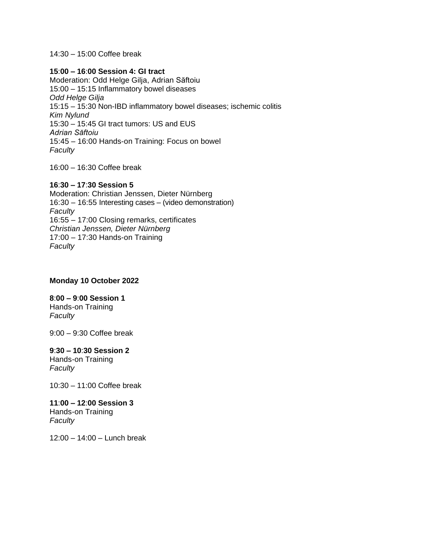14:30 – 15:00 Coffee break

#### **15**:**00 – 16**:**00 Session 4: GI tract**

Moderation: Odd Helge Gilja, Adrian Săftoiu 15:00 – 15:15 Inflammatory bowel diseases *Odd Helge Gilja* 15:15 – 15:30 Non-IBD inflammatory bowel diseases; ischemic colitis *Kim Nylund* 15:30 – 15:45 GI tract tumors: US and EUS *Adrian Săftoiu* 15:45 – 16:00 Hands-on Training: Focus on bowel *Faculty*

16:00 – 16:30 Coffee break

#### **16**:**30 – 17**:**30 Session 5**

Moderation: Christian Jenssen, Dieter Nürnberg 16:30 – 16:55 Interesting cases – (video demonstration) *Faculty* 16:55 – 17:00 Closing remarks, certificates *Christian Jenssen, Dieter Nürnberg* 17:00 – 17:30 Hands-on Training *Faculty*

## **Monday 10 October 2022**

## **8**:**00 – 9**:**00 Session 1**

Hands-on Training *Faculty*

9:00 – 9:30 Coffee break

# **9**:**30 – 10**:**30 Session 2**

Hands-on Training *Faculty*

10:30 – 11:00 Coffee break

#### **11**:**00 – 12**:**00 Session 3**

Hands-on Training *Faculty*

12:00 – 14:00 – Lunch break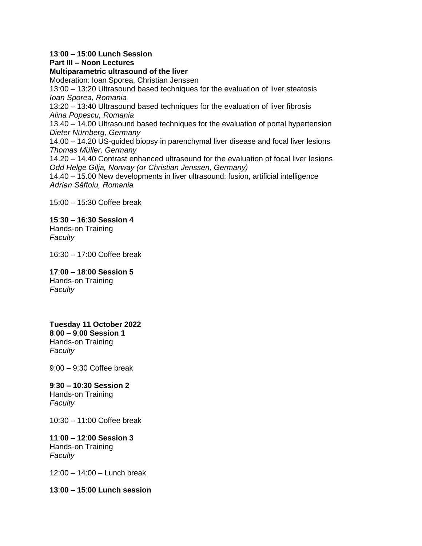#### **13**:**00 – 15**:**00 Lunch Session**

#### **Part III – Noon Lectures**

**Multiparametric ultrasound of the liver** Moderation: Ioan Sporea, Christian Jenssen

13:00 – 13:20 Ultrasound based techniques for the evaluation of liver steatosis *Ioan Sporea, Romania*

13:20 – 13:40 Ultrasound based techniques for the evaluation of liver fibrosis *Alina Popescu, Romania*

13.40 – 14.00 Ultrasound based techniques for the evaluation of portal hypertension *Dieter Nürnberg, Germany*

14.00 – 14.20 US-guided biopsy in parenchymal liver disease and focal liver lesions *Thomas Müller, Germany*

14.20 – 14.40 Contrast enhanced ultrasound for the evaluation of focal liver lesions *Odd Helge Gilja, Norway (or Christian Jenssen, Germany)*

14.40 – 15.00 New developments in liver ultrasound: fusion, artificial intelligence *Adrian Săftoiu, Romania*

15:00 – 15:30 Coffee break

## **15**:**30 – 16**:**30 Session 4**

Hands-on Training *Faculty*

16:30 – 17:00 Coffee break

#### **17**:**00 – 18**:**00 Session 5**

Hands-on Training *Faculty*

**Tuesday 11 October 2022 8**:**00 – 9**:**00 Session 1** Hands-on Training *Faculty*

9:00 – 9:30 Coffee break

#### **9**:**30 – 10**:**30 Session 2**

Hands-on Training *Faculty*

10:30 – 11:00 Coffee break

#### **11**:**00 – 12**:**00 Session 3** Hands-on Training

*Faculty*

12:00 – 14:00 – Lunch break

**13**:**00 – 15**:**00 Lunch session**